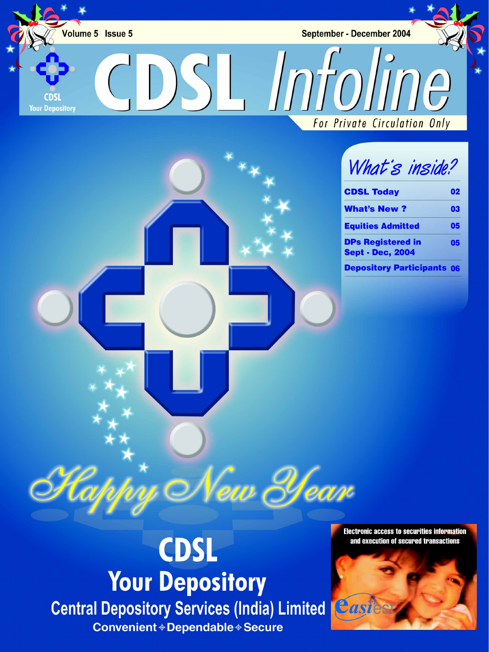Volume 5 Issue 5

**Your Depository** 

September - December 2004

CDSLInfoline

For Private Circulation Only

# What's inside?

| <b>CDSL Today</b>                                   | 02 |
|-----------------------------------------------------|----|
| <b>What's New?</b>                                  | 03 |
| <b>Equities Admitted</b>                            | 05 |
| <b>DPs Registered in</b><br><b>Sept - Dec, 2004</b> | 05 |
| <b>Denository Participants 06</b>                   |    |

# **CDSL Your Depository Central Depository Services (India) Limited Eastes Convenient ◈ Dependable ◈ Secure**

New Year

**Electronic access to securities information** and execution of secured transactions

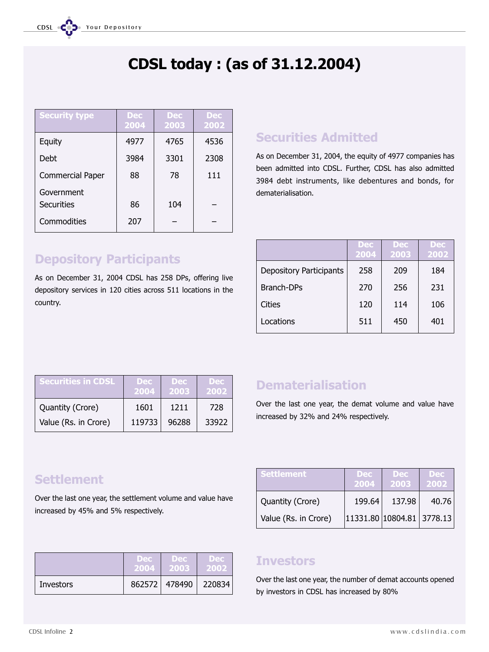# CDSL today : (as of 31.12.2004)

| <b>Security type</b>            | <b>Dec</b><br>2004 | <b>Dec</b><br>2003 | <b>Dec</b><br>2002 |
|---------------------------------|--------------------|--------------------|--------------------|
| Equity                          | 4977               | 4765               | 4536               |
| Debt                            | 3984               | 3301               | 2308               |
| <b>Commercial Paper</b>         | 88                 | 78                 | 111                |
| Government<br><b>Securities</b> | 86                 | 104                |                    |
| Commodities                     | 207                |                    |                    |

# Depository Participants

As on December 31, 2004 CDSL has 258 DPs, offering live depository services in 120 cities across 511 locations in the country.

# Securities Admitted

As on December 31, 2004, the equity of 4977 companies has been admitted into CDSL. Further, CDSL has also admitted 3984 debt instruments, like debentures and bonds, for dematerialisation.

|                                | <b>Dec</b><br>2004 | Dec.<br>2003 | <b>Dec</b><br>2002 |
|--------------------------------|--------------------|--------------|--------------------|
| <b>Depository Participants</b> | 258                | 209          | 184                |
| <b>Branch-DPs</b>              | 270                | 256          | 231                |
| Cities                         | 120                | 114          | 106                |
| Locations                      | 511                | 450          | 401                |

| <b>Securities in CDSL</b> | <b>Dec</b><br>2004 | <b>Dec</b><br>2003 | <b>Dec</b><br>2002 |
|---------------------------|--------------------|--------------------|--------------------|
| Quantity (Crore)          | 1601               | 1211               | 728                |
| Value (Rs. in Crore)      | 119733             | 96288              | 33922              |

# **Dematerialisation**

Over the last one year, the demat volume and value have increased by 32% and 24% respectively.

2004 2003 2002

Settlement Dec Dec Dec

# **Settlement**

Over the last one year, the settlement volume and value have increased by 45% and 5% respectively.

|           | Dec: | Dec:          | <b>Dec</b> |
|-----------|------|---------------|------------|
|           | 2004 | 2003          | 2002       |
| Investors |      | 862572 478490 | 220834     |

# **Investors**

Over the last one year, the number of demat accounts opened by investors in CDSL has increased by 80%

Quantity (Crore) | 199.64 | 137.98 | 40.76

Value (Rs. in Crore) | 11331.80 10804.81 3778.13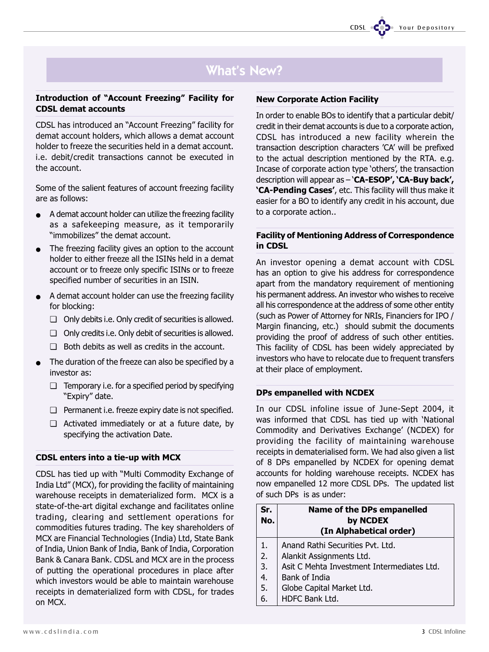# **What's New?**

#### Introduction of "Account Freezing" Facility for CDSL demat accounts

CDSL has introduced an "Account Freezing" facility for demat account holders, which allows a demat account holder to freeze the securities held in a demat account. i.e. debit/credit transactions cannot be executed in the account.

Some of the salient features of account freezing facility are as follows:

- A demat account holder can utilize the freezing facility as a safekeeping measure, as it temporarily "immobilizes" the demat account.
- The freezing facility gives an option to the account holder to either freeze all the ISINs held in a demat account or to freeze only specific ISINs or to freeze specified number of securities in an ISIN.
- A demat account holder can use the freezing facility for blocking:
	- ❏ Only debits i.e. Only credit of securities is allowed.
	- ❏ Only credits i.e. Only debit of securities is allowed.
	- ❏ Both debits as well as credits in the account.
- The duration of the freeze can also be specified by a investor as:
	- ❏ Temporary i.e. for a specified period by specifying "Expiry" date.
	- ❏ Permanent i.e. freeze expiry date is not specified.
	- ❏ Activated immediately or at a future date, by specifying the activation Date.

#### CDSL enters into a tie-up with MCX

CDSL has tied up with "Multi Commodity Exchange of India Ltd" (MCX), for providing the facility of maintaining warehouse receipts in dematerialized form. MCX is a state-of-the-art digital exchange and facilitates online trading, clearing and settlement operations for commodities futures trading. The key shareholders of MCX are Financial Technologies (India) Ltd, State Bank of India, Union Bank of India, Bank of India, Corporation Bank & Canara Bank. CDSL and MCX are in the process of putting the operational procedures in place after which investors would be able to maintain warehouse receipts in dematerialized form with CDSL, for trades on MCX.

In order to enable BOs to identify that a particular debit/ credit in their demat accounts is due to a corporate action, CDSL has introduced a new facility wherein the transaction description characters 'CA' will be prefixed to the actual description mentioned by the RTA. e.g. Incase of corporate action type 'others', the transaction description will appear as  $-\text{C}$ A-ESOP',  $\text{C}$ A-Buy back', 'CA-Pending Cases', etc. This facility will thus make it easier for a BO to identify any credit in his account, due to a corporate action..

#### Facility of Mentioning Address of Correspondence in CDSL

An investor opening a demat account with CDSL has an option to give his address for correspondence apart from the mandatory requirement of mentioning his permanent address. An investor who wishes to receive all his correspondence at the address of some other entity (such as Power of Attorney for NRIs, Financiers for IPO / Margin financing, etc.) should submit the documents providing the proof of address of such other entities. This facility of CDSL has been widely appreciated by investors who have to relocate due to frequent transfers at their place of employment.

#### DPs empanelled with NCDEX

In our CDSL infoline issue of June-Sept 2004, it was informed that CDSL has tied up with 'National Commodity and Derivatives Exchange' (NCDEX) for providing the facility of maintaining warehouse receipts in dematerialised form. We had also given a list of 8 DPs empanelled by NCDEX for opening demat accounts for holding warehouse receipts. NCDEX has now empanelled 12 more CDSL DPs. The updated list of such DPs is as under:

| Sr.<br>No. | <b>Name of the DPs empanelled</b><br>by NCDEX |
|------------|-----------------------------------------------|
|            | (In Alphabetical order)                       |
| 1.         | Anand Rathi Securities Pvt. Ltd.              |
| 2.         | Alankit Assignments Ltd.                      |
| 3.         | Asit C Mehta Investment Intermediates Ltd.    |
| 4.         | Bank of India                                 |
| 5.         | Globe Capital Market Ltd.                     |
| 6.         | HDFC Bank Ltd.                                |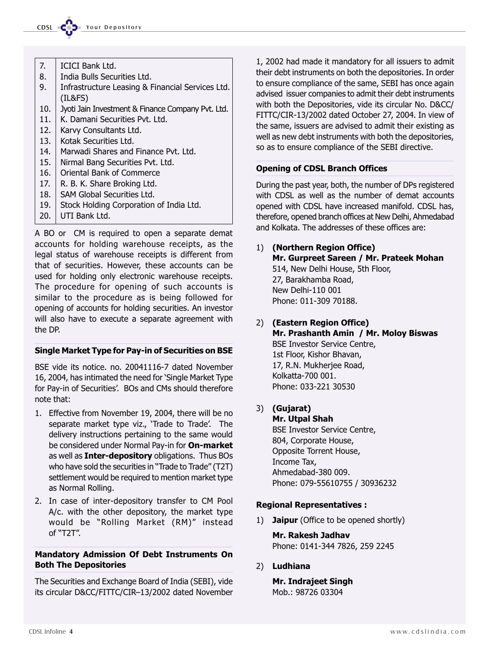

- 7. ICICI Bank Ltd.
- 8. India Bulls Securities Ltd.
- 9. | Infrastructure Leasing & Financial Services Ltd. (IL&FS)
- 10. Jyoti Jain Investment & Finance Company Pvt. Ltd.
- 11. K. Damani Securities Pvt. Ltd.
- 12. Karvy Consultants Ltd.
- 13. Kotak Securities Ltd.
- 14. | Marwadi Shares and Finance Pvt. Ltd.
- 15. Nirmal Bang Securities Pvt. Ltd.
- 16. Oriental Bank of Commerce
- 17. R. B. K. Share Broking Ltd.
- 18. SAM Global Securities Ltd.
- 19. Stock Holding Corporation of India Ltd.
- 20. UTI Bank Ltd.

A BO or CM is required to open a separate demat accounts for holding warehouse receipts, as the legal status of warehouse receipts is different from that of securities. However, these accounts can be used for holding only electronic warehouse receipts. The procedure for opening of such accounts is similar to the procedure as is being followed for opening of accounts for holding securities. An investor will also have to execute a separate agreement with the DP.

#### Single Market Type for Pay-in of Securities on BSE

BSE vide its notice. no. 20041116-7 dated November 16, 2004, has intimated the need for 'Single Market Type for Pay-in of Securities'. BOs and CMs should therefore note that:

- 1. Effective from November 19, 2004, there will be no separate market type viz., 'Trade to Trade'. The delivery instructions pertaining to the same would be considered under Normal Pay-in for On-market as well as **Inter-depository** obligations. Thus BOs who have sold the securities in "Trade to Trade" (T2T) settlement would be required to mention market type as Normal Rolling.
- 2. In case of inter-depository transfer to CM Pool A/c. with the other depository, the market type would be "Rolling Market (RM)" instead  $of "T2T".$

#### Mandatory Admission Of Debt Instruments On Both The Depositories

The Securities and Exchange Board of India (SEBI), vide its circular D&CC/FITTC/CIR-13/2002 dated November

1, 2002 had made it mandatory for all issuers to admit their debt instruments on both the depositories. In order to ensure compliance of the same, SEBI has once again advised issuer companies to admit their debt instruments with both the Depositories, vide its circular No. D&CC/ FITTC/CIR-13/2002 dated October 27, 2004. In view of the same, issuers are advised to admit their existing as well as new debt instruments with both the depositories, so as to ensure compliance of the SEBI directive.

#### Opening of CDSL Branch Offices

During the past year, both, the number of DPs registered with CDSL as well as the number of demat accounts opened with CDSL have increased manifold. CDSL has, therefore, opened branch offices at New Delhi, Ahmedabad and Kolkata. The addresses of these offices are:

#### 1) (Northern Region Office) Mr. Gurpreet Sareen / Mr. Prateek Mohan 514, New Delhi House, 5th Floor, 27, Barakhamba Road, New Delhi-110 001 Phone: 011-309 70188.

- 2) (Eastern Region Office) Mr. Prashanth Amin / Mr. Moloy Biswas BSE Investor Service Centre, 1st Floor, Kishor Bhavan, 17, R.N. Mukherjee Road, Kolkatta-700 001. Phone: 033-221 30530
- 3) (Gujarat)

Mr. Utpal Shah BSE Investor Service Centre, 804, Corporate House, Opposite Torrent House, Income Tax, Ahmedabad-380 009. Phone: 079-55610755 / 30936232

#### Regional Representatives :

1) **Jaipur** (Office to be opened shortly)

Mr. Rakesh Jadhav Phone: 0141-344 7826, 259 2245

2) Ludhiana

Mr. Indrajeet Singh Mob.: 98726 03304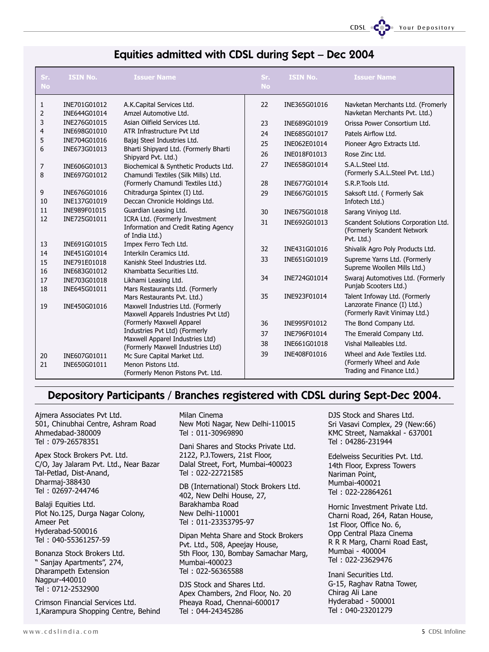CDSL **COD** Your Depository

#### Equities admitted with CDSL during Sept - Dec 2004

| Sr.<br><b>No</b> | <b>ISIN No.</b>              | <b>Issuer Name</b>                                                        | Sr.<br><b>No</b> | <b>ISIN No.</b> | <b>Issuer Name</b>                                                              |
|------------------|------------------------------|---------------------------------------------------------------------------|------------------|-----------------|---------------------------------------------------------------------------------|
| $\mathbf{1}$     | INE701G01012                 | A.K.Capital Services Ltd.                                                 | 22               | INE365G01016    | Navketan Merchants Ltd. (Fromerly                                               |
| 2                | INE644G01014                 | Amzel Automotive Ltd.                                                     |                  |                 | Navketan Merchants Pvt. Ltd.)                                                   |
| 3                | INE276G01015                 | Asian Oilfield Services Ltd.                                              | 23               | INE689G01019    | Orissa Power Consortium Ltd.                                                    |
| $\overline{4}$   | INE698G01010                 | ATR Infrastructure Pvt Ltd                                                | 24               | INE685G01017    | Patels Airflow Ltd.                                                             |
| 5                | INE704G01016                 | Bajaj Steel Industries Ltd.                                               | 25               | INE062E01014    | Pioneer Agro Extracts Ltd.                                                      |
| 6                | INE673G01013                 | Bharti Shipyard Ltd. (Formerly Bharti<br>Shipyard Pvt. Ltd.)              | 26               | INE018F01013    | Rose Zinc Ltd.                                                                  |
| 7                | INE606G01013                 | Biochemical & Synthetic Products Ltd.                                     | 27               | INE658G01014    | S.A.L.Steel Ltd.                                                                |
| 8                | INE697G01012                 | Chamundi Textiles (Silk Mills) Ltd.                                       |                  |                 | (Formerly S.A.L.Steel Pvt. Ltd.)                                                |
|                  |                              | (Formerly Chamundi Textiles Ltd.)                                         | 28               | INE677G01014    | S.R.P.Tools Ltd.                                                                |
| 9                | INE676G01016                 | Chitradurga Spintex (I) Ltd.                                              | 29               | INE667G01015    | Saksoft Ltd. (Formerly Sak                                                      |
| 10               | INE137G01019                 | Deccan Chronicle Holdings Ltd.                                            |                  |                 | Infotech Ltd.)                                                                  |
| 11<br>12         | INE989F01015<br>INE725G01011 | Guardian Leasing Ltd.<br>ICRA Ltd. (Formerly Investment                   | 30               | INE675G01018    | Sarang Viniyog Ltd.                                                             |
|                  |                              | Information and Credit Rating Agency<br>of India Ltd.)                    | 31               | INE692G01013    | Scandent Solutions Corporation Ltd.<br>(Formerly Scandent Network<br>Pvt. Ltd.) |
| 13               | INE691G01015                 | Impex Ferro Tech Ltd.                                                     | 32               | INE431G01016    | Shivalik Agro Poly Products Ltd.                                                |
| 14               | INE451G01014                 | Interkiln Ceramics Ltd.                                                   | 33               | INE651G01019    | Supreme Yarns Ltd. (Formerly                                                    |
| 15<br>16         | INE791E01018<br>INE683G01012 | Kanishk Steel Industries Ltd.<br>Khambatta Securities Ltd.                |                  |                 | Supreme Woollen Mills Ltd.)                                                     |
| 17               | INE703G01018                 | Likhami Leasing Ltd.                                                      | 34               | INE724G01014    | Swaraj Automotives Ltd. (Formerly                                               |
| 18               | INE645G01011                 | Mars Restaurants Ltd. (Formerly                                           |                  |                 | Punjab Scooters Ltd.)                                                           |
|                  |                              | Mars Restaurants Pvt. Ltd.)                                               | 35               | INE923F01014    | Talent Infoway Ltd. (Formerly                                                   |
| 19               | INE450G01016                 | Maxwell Industries Ltd. (Formerly<br>Maxwell Apparels Industries Pvt Ltd) |                  |                 | Lanzorate Finance (I) Ltd.)<br>(Formerly Ravit Vinimay Ltd.)                    |
|                  |                              | (Formerly Maxwell Apparel                                                 | 36               | INE995F01012    | The Bond Company Ltd.                                                           |
|                  |                              | Industries Pvt Ltd) (Formerly                                             | 37               | INE796F01014    | The Emerald Company Ltd.                                                        |
|                  |                              | Maxwell Apparel Industries Ltd)                                           |                  |                 | Vishal Malleables Ltd.                                                          |
|                  |                              | (Formerly Maxwell Industries Ltd)                                         | 38               | INE661G01018    |                                                                                 |
| 20               | INE607G01011                 | Mc Sure Capital Market Ltd.                                               | 39               | INE408F01016    | Wheel and Axle Textiles Ltd.                                                    |
| 21               | INE650G01011                 | Menon Pistons Ltd.                                                        |                  |                 | (Formerly Wheel and Axle<br>Trading and Finance Ltd.)                           |
|                  |                              | (Formerly Menon Pistons Pvt. Ltd.                                         |                  |                 |                                                                                 |

#### Depository Participants / Branches registered with CDSL during Sept-Dec 2004.

Ajmera Associates Pvt Ltd. 501, Chinubhai Centre, Ashram Road Ahmedabad-380009 Tel : 079-26578351

Apex Stock Brokers Pvt. Ltd. C/O, Jay Jalaram Pvt. Ltd., Near Bazar Tal-Petlad, Dist-Anand, Dharmaj-388430 Tel : 02697-244746

Balaji Equities Ltd. Plot No.125, Durga Nagar Colony, Ameer Pet Hyderabad-500016 Tel : 040-55361257-59

Bonanza Stock Brokers Ltd. " Sanjay Apartments", 274, Dharampeth Extension Nagpur-440010 Tel : 0712-2532900

Crimson Financial Services Ltd. 1,Karampura Shopping Centre, Behind Milan Cinema New Moti Nagar, New Delhi-110015 Tel : 011-30969890

Dani Shares and Stocks Private Ltd. 2122, P.J.Towers, 21st Floor, Dalal Street, Fort, Mumbai-400023 Tel : 022-22721585

DB (International) Stock Brokers Ltd. 402, New Delhi House, 27, Barakhamba Road New Delhi-110001 Tel : 011-23353795-97

Dipan Mehta Share and Stock Brokers Pvt. Ltd., 508, Apeejay House, 5th Floor, 130, Bombay Samachar Marg, Mumbai-400023 Tel : 022-56365588

DJS Stock and Shares Ltd. Apex Chambers, 2nd Floor, No. 20 Pheaya Road, Chennai-600017 Tel : 044-24345286

DJS Stock and Shares Ltd. Sri Vasavi Complex, 29 (New:66) KMC Street, Namakkal - 637001 Tel : 04286-231944

Edelweiss Securities Pvt. Ltd. 14th Floor, Express Towers Nariman Point, Mumbai-400021 Tel : 022-22864261

Hornic Investment Private Ltd. Charni Road, 264, Ratan House, 1st Floor, Office No. 6, Opp Central Plaza Cinema R R R Marg, Charni Road East, Mumbai - 400004 Tel : 022-23629476

Inani Securities Ltd. G-15, Raghav Ratna Tower, Chirag Ali Lane Hyderabad - 500001 Tel : 040-23201279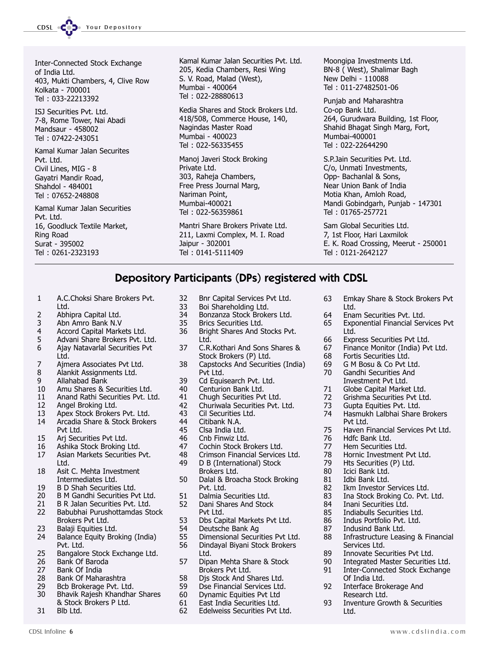CDSL **COD** Your Depository

Inter-Connected Stock Exchange of India Ltd. 403, Mukti Chambers, 4, Clive Row Kolkata - 700001 Tel : 033-22213392

ISJ Securities Pvt. Ltd. 7-8, Rome Tower, Nai Abadi Mandsaur - 458002 Tel : 07422-243051

Kamal Kumar Jalan Securites Pvt. Ltd. Civil Lines, MIG - 8 Gayatri Mandir Road, Shahdol - 484001 Tel : 07652-248808

Kamal Kumar Jalan Securities Pvt. Ltd. 16, Goodluck Textile Market, Ring Road Surat - 395002 Tel : 0261-2323193

Kamal Kumar Jalan Securities Pvt. Ltd. 205, Kedia Chambers, Resi Wing S. V. Road, Malad (West), Mumbai - 400064 Tel : 022-28880613

Kedia Shares and Stock Brokers Ltd. 418/508, Commerce House, 140, Nagindas Master Road Mumbai - 400023 Tel : 022-56335455

Manoj Javeri Stock Broking Private Ltd. 303, Raheja Chambers, Free Press Journal Marg, Nariman Point, Mumbai-400021 Tel : 022-56359861

Mantri Share Brokers Private Ltd. 211, Laxmi Complex, M. I. Road Jaipur - 302001 Tel : 0141-5111409

Moongipa Investments Ltd. BN-8 ( West), Shalimar Bagh New Delhi - 110088 Tel : 011-27482501-06

Punjab and Maharashtra Co-op Bank Ltd. 264, Gurudwara Building, 1st Floor, Shahid Bhagat Singh Marg, Fort, Mumbai-400001 Tel : 022-22644290

S.P.Jain Securities Pvt. Ltd. C/o, Unmati Investments, Opp- Bachanlal & Sons, Near Union Bank of India Motia Khan, Amloh Road, Mandi Gobindgarh, Punjab - 147301 Tel : 01765-257721

Sam Global Securities Ltd. 7, 1st Floor, Hari Laxmilok E. K. Road Crossing, Meerut - 250001 Tel : 0121-2642127

## Depository Participants (DPs) registered with CDSL

- 1 A.C.Choksi Share Brokers Pvt. Ltd.
- 
- 2 Abhipra Capital Ltd.<br>3 Abn Amro Bank N.V
- 3 Abn Amro Bank N.V
- 4 Accord Capital Markets Ltd.<br>5 Advani Share Brokers Pvt. L
- 5 Advani Share Brokers Pvt. Ltd.<br>6 Aiav Natavarlal Securities Pvt 6 Ajay Natavarlal Securities Pvt Ltd.
- 7 Ajmera Associates Pvt Ltd.<br>8 Alankit Assignments Ltd.
- 8 Alankit Assignments Ltd.<br>9 Allahahad Bank
- 9 Allahabad Bank
- 10 Amu Shares & Securities Ltd.
- 11 Anand Rathi Securities Pvt. Ltd.
- 12 Angel Broking Ltd.
- 13 Apex Stock Brokers Pvt. Ltd.<br>14 Arcadia Share & Stock Broke
- Arcadia Share & Stock Brokers Pvt Ltd.
- 15 Arj Securities Pvt Ltd.
- 16 Ashika Stock Broking Ltd.<br>17 Asian Markets Securities P Asian Markets Securities Pvt. Ltd.
- 18 Asit C. Mehta Investment Intermediates Ltd.
- 19 B D Shah Securities Ltd.<br>20 B M Gandhi Securities P
- 20 B M Gandhi Securities Pvt Ltd.<br>21 B R Jalan Securities Pvt. Ltd.
- B R Jalan Securities Pvt. Ltd.
- 22 Babubhai Purushottamdas Stock Brokers Pvt Ltd.
- 23 Balaji Equities Ltd.<br>24 Balance Equity Bro
- Balance Equity Broking (India) Pvt. Ltd.
- 25 Bangalore Stock Exchange Ltd.<br>26 Bank Of Baroda
- 26 Bank Of Baroda<br>27 Bank Of India
- 27 Bank Of India<br>28 Bank Of Maha
- 28 Bank Of Maharashtra<br>29 Bcb Brokerage Pvt. Lt
- Bcb Brokerage Pvt. Ltd. 30 Bhavik Rajesh Khandhar Shares
- & Stock Brokers P Ltd.
- 31 Blb Ltd.
- 32 Bnr Capital Services Pvt Ltd.<br>33 Boi Shareholding Ltd. Boi Shareholding Ltd.
- 34 Bonzanza Stock Brokers Ltd.
- 
- 35 Brics Securities Ltd.<br>36 Bright Shares And S Bright Shares And Stocks Pvt. Ltd.
- 37 C.R.Kothari And Sons Shares & Stock Brokers (P) Ltd.
- 38 Capstocks And Securities (India) Pvt Ltd.
- 39 Cd Equisearch Pvt. Ltd.
- 40 Centurion Bank Ltd.
- 41 Chugh Securities Pvt Ltd.<br>42 Churiwala Securities Pvt.
- 42 Churiwala Securities Pvt. Ltd.<br>43 Cil Securities Ltd.
- 43 Cil Securities Ltd.<br>44 Citibank N.A.
- 44 Citibank N.A.<br>45 Clsa India Ltd
- Clsa India Ltd.
- 46 Cnb Finwiz Ltd.<br>47 Cochin Stock Br
- 47 Cochin Stock Brokers Ltd.<br>48 Crimson Financial Services
- 48 Crimson Financial Services Ltd.<br>49 D B (International) Stock
- D B (International) Stock Brokers Ltd.
- 50 Dalal & Broacha Stock Broking Pvt. Ltd.
- 51 Dalmia Securities Ltd.<br>52 Dani Shares And Stocl
- Dani Shares And Stock Pvt Ltd.
- 53 Dbs Capital Markets Pvt Ltd.
- 54 Deutsche Bank Ag<br>55 Dimensional Secur
- 55 Dimensional Securities Pvt Ltd.<br>56 Dindaval Bivani Stock Brokers
- 56 Dindayal Biyani Stock Brokers Ltd.
- 57 Dipan Mehta Share & Stock Brokers Pvt Ltd.
- 58 Djs Stock And Shares Ltd.<br>59 Dse Financial Services Ltd.
- Dse Financial Services Ltd.
- 60 Dynamic Equities Pvt Ltd
- 61 East India Securities Ltd.<br>62 Edelweiss Securities Pvt L
- Edelweiss Securities Pvt Ltd.

CDSL Infoline 6 www.cdslindia.com

- 63 Emkay Share & Stock Brokers Pvt Ltd.
- 64 Enam Securities Pvt. Ltd.
- 65 Exponential Financial Services Pvt Ltd.
- 
- 66 Express Securities Pvt Ltd.<br>67 Finance Monitor (India) Pv Finance Monitor (India) Pvt Ltd.
- 68 Fortis Securities Ltd.
- 69 G M Bosu & Co Pvt Ltd. Gandhi Securities And
- Investment Pvt Ltd.
- 71 Globe Capital Market Ltd.
- 72 Grishma Securities Pvt Ltd.<br>73 Gupta Equities Pvt. Ltd.
- 73 Gupta Equities Pvt. Ltd.<br>74 Hasmukh Lalbhai Share
- Hasmukh Lalbhai Share Brokers Pvt Ltd.
- 75 Haven Financial Services Pvt Ltd.
- 
- 76 Hdfc Bank Ltd.<br>77 Hem Securities Hem Securities Ltd.
- 
- 78 Hornic Investment Pvt Ltd.<br>79 Hts Securities (P) Ltd. 79 Hts Securities (P) Ltd.<br>80 Icici Bank Ltd.
- Icici Bank Ltd.
- 
- 81 Idbi Bank Ltd.<br>82 Ikm Investor S
- 82 Ikm Investor Services Ltd.<br>83 Ina Stock Broking Co. Pvt. Ina Stock Broking Co. Pvt. Ltd.
- 84 Inani Securities Ltd.
- 85 Indiabulls Securities Ltd.
- 86 Indus Portfolio Pvt. Ltd.
- 87 Indusind Bank Ltd.<br>88 Infrastructure Leas

Of India Ltd. 92 Interface Brokerage And Research Ltd.

Ltd.

Infrastructure Leasing & Financial Services Ltd. 89 Innovate Securities Pvt Ltd.<br>90 Integrated Master Securities

90 Integrated Master Securities Ltd.<br>91 Inter-Connected Stock Exchange Inter-Connected Stock Exchange

93 Inventure Growth & Securities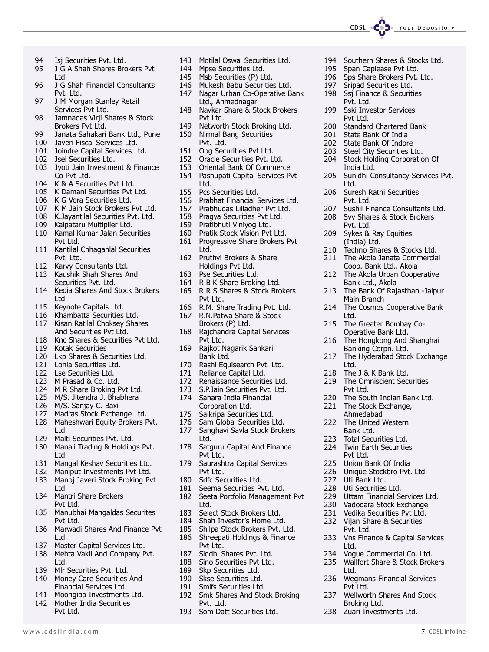94 Isj Securities Pvt. Ltd.<br>95 J G A Shah Shares Bro

- 95 J G A Shah Shares Brokers Pvt Ltd.
- 96 J G Shah Financial Consultants Pvt. Ltd.
- 97 J M Morgan Stanley Retail Services Pvt Ltd.
- 98 Jamnadas Virji Shares & Stock Brokers Pvt Ltd.
- 99 Janata Sahakari Bank Ltd., Pune
- 100 Javeri Fiscal Services Ltd.
- 101 Joindre Capital Services Ltd.
- 102 Jsel Securities Ltd.
- 103 Jyoti Jain Investment & Finance Co Pvt Ltd.
- 104 K & A Securities Pvt Ltd.<br>105 K Damani Securities Pvt
- K Damani Securities Pvt Ltd.
- 106 K G Vora Securities Ltd.
- 107 K M Jain Stock Brokers Pvt Ltd.
- 108 K.Jayantilal Securities Pvt. Ltd.
- 109 Kalpataru Multiplier Ltd.
- 110 Kamal Kumar Jalan Securities Pvt Ltd.
- 111 Kantilal Chhaganlal Securities Pvt. Ltd.
- 112 Karvy Consultants Ltd.<br>113 Kaushik Shah Shares A
- Kaushik Shah Shares And Securities Pvt. Ltd.
- 114 Kedia Shares And Stock Brokers Ltd.
- 115 Keynote Capitals Ltd.<br>116 Khambatta Securities
- Khambatta Securities Ltd. 117 Kisan Ratilal Choksey Shares
- And Securities Pvt Ltd.
- 118 Knc Shares & Securities Pvt Ltd.<br>119 Kotak Securities
- 119 Kotak Securities<br>120 Lkp Shares & Se
- Lkp Shares & Securities Ltd.
- 121 Lohia Securities Ltd.
- 122 Lse Securities Ltd.
- 123 M Prasad & Co. Ltd.
- 124 M R Share Broking Pvt Ltd.
- 125 M/S. Jitendra J. Bhabhera
- 126 M/S. Sanjay C. Baxi
- 127 Madras Stock Exchange Ltd.
- 128 Maheshwari Equity Brokers Pvt. Ltd.
- 129 Malti Securities Pvt. Ltd.
- 130 Manali Trading & Holdings Pvt. Ltd.
- 131 Mangal Keshav Securities Ltd.
- 132 Maniput Investments Pvt Ltd. 133 Manoj Javeri Stock Broking Pvt
- Ltd.
- 134 Mantri Share Brokers Pvt Ltd.
- 135 Manubhai Mangaldas Securites Pvt Ltd.
- 136 Marwadi Shares And Finance Pvt Ltd.
- 137 Master Capital Services Ltd.
- 138 Mehta Vakil And Company Pvt. Ltd.
- 139 Mlr Securities Pvt. Ltd.<br>140 Monev Care Securities
- Money Care Securities And Financial Services Ltd.
- 141 Moongipa Investments Ltd.<br>142 Mother India Securities Mother India Securities
	- Pvt Ltd.
- 143 Motilal Oswal Securities Ltd.<br>144 Mpse Securities Ltd.
- 144 Mpse Securities Ltd.<br>145 Msb Securities (P) Lt
- Msb Securities (P) Ltd.
- 146 Mukesh Babu Securities Ltd.<br>147 Nagar Urban Co-Operative B Nagar Urban Co-Operative Bank
	- Ltd., Ahmednagar
- 148 Navkar Share & Stock Brokers Pvt Ltd.
- 149 Networth Stock Broking Ltd.
- 150 Nirmal Bang Securities Pvt. Ltd.
- 151 Opg Securities Pvt Ltd.<br>152 Oracle Securities Pvt. Ltd.
- Oracle Securities Pvt. Ltd.
- 153 Oriental Bank Of Commerce
- 154 Pashupati Capital Services Pvt Ltd.
- 155 Pcs Securities Ltd.<br>156 Prabhat Financial 9
- 
- 156 Prabhat Financial Services Ltd.<br>157 Prabhudas Lilladher Pvt Ltd. 157 Prabhudas Lilladher Pvt Ltd.<br>158 Pragya Securities Pvt Ltd.
- 158 Pragya Securities Pvt Ltd.<br>159 Pratibhuti Vinivog Ltd.
- 159 Pratibhuti Viniyog Ltd.<br>160 Pratik Stock Vision Pvt
- Pratik Stock Vision Pvt Ltd.
- 161 Progressive Share Brokers Pvt Ltd.
- 162 Pruthvi Brokers & Share Holdings Pvt Ltd.
- 163 Pse Securities Ltd.
- 164 R B K Share Broking Ltd.
- 165 R R S Shares & Stock Brokers Pvt Ltd.
- 166 R.M. Share Trading Pvt. Ltd.<br>167 R.N.Patwa Share & Stock
- 167 R.N.Patwa Share & Stock Brokers (P) Ltd.
- 168 Rajchandra Capital Services Pvt Ltd.
- 169 Rajkot Nagarik Sahkari Bank Ltd.
- 170 Rashi Equisearch Pvt. Ltd.<br>171 Reliance Capital Ltd.
- 171 Reliance Capital Ltd.<br>172 Renaissance Securiti
- 172 Renaissance Securities Ltd.<br>173 S.P.Jain Securities Pvt. Ltd.
- S.P.Jain Securities Pvt. Ltd.
- 174 Sahara India Financial Corporation Ltd.
- 175 Saikripa Securities Ltd.<br>176 Sam Global Securities I
- 176 Sam Global Securities Ltd.<br>177 Sanghavi Savla Stock Brok Sanghavi Savla Stock Brokers
- Ltd. 178 Satguru Capital And Finance
- Pvt Ltd.
- 179 Saurashtra Capital Services Pvt Ltd.
- 180 Sdfc Securities Ltd.
- 181 Seema Securities Pvt. Ltd.
- 182 Seeta Portfolio Management Pvt Ltd.
- 183 Select Stock Brokers Ltd.
- 184 Shah Investor's Home Ltd.
- 185 Shilpa Stock Brokers Pvt. Ltd. 186 Shreepati Holdings & Finance Pvt Ltd.
- 187 Siddhi Shares Pvt. Ltd.
- 
- 188 Sino Securities Pvt Ltd.<br>189 Skp Securities Ltd. 189 Skp Securities Ltd.<br>190 Skse Securities Ltd.
- 
- 190 Skse Securities Ltd.<br>191 Smifs Securities Ltd Smifs Securities Ltd.
- 192 Smk Shares And Stock Broking Pvt. Ltd.

www.cdslindia.com 7 CDSL Infoline

193 Som Datt Securities Ltd.

194 Southern Shares & Stocks Ltd.<br>195 Span Caplease Pvt Ltd. Span Caplease Pvt Ltd.

196 Sps Share Brokers Pvt. Ltd.<br>197 Srinad Securities Ltd. 197 Sripad Securities Ltd.<br>198 Ssi Finance & Securiti **Ssj Finance & Securities** 

200 Standard Chartered Bank 201 State Bank Of India<br>202 State Bank Of Indor 202 State Bank Of Indore<br>203 Steel City Securities L 203 Steel City Securities Ltd.<br>204 Stock Holding Corporatio

206 Suresh Rathi Securities

Stock Holding Corporation Of

205 Sunidhi Consultancy Services Pvt.

207 Sushil Finance Consultants Ltd. 208 Svv Shares & Stock Brokers

210 Techno Shares & Stocks Ltd. 211 The Akola Janata Commercial Coop. Bank Ltd., Akola 212 The Akola Urban Cooperative Bank Ltd., Akola 213 The Bank Of Rajasthan -Jaipur

214 The Cosmos Cooperative Bank

The Omniscient Securities

Unique Stockbro Pvt. Ltd.

229 Uttam Financial Services Ltd.<br>230 Vadodara Stock Exchange 230 Vadodara Stock Exchange<br>231 Vedika Securities Pvt Ltd. Vedika Securities Pvt Ltd. 232 Vijan Share & Securities

233 Vns Finance & Capital Services

234 Vogue Commercial Co. Ltd. 235 Wallfort Share & Stock Brokers

236 Wegmans Financial Services

237 Wellworth Shares And Stock

220 The South Indian Bank Ltd. 221 The Stock Exchange, Ahmedabad 222 The United Western Bank Ltd. 223 Total Securities Ltd. 224 Twin Earth Securities Pvt Ltd. 225 Union Bank Of India<br>226 Unique Stockbro Pyt.

215 The Greater Bombay Co-Operative Bank Ltd. 216 The Hongkong And Shanghai Banking Corpn. Ltd. 217 The Hyderabad Stock Exchange

Pvt. Ltd. 199 Sski Investor Services Pvt Ltd.

India Ltd.

Pvt. Ltd.

Pvt. Ltd. 209 Sykes & Ray Equities (India) Ltd.

Main Branch

218 The J & K Bank Ltd.<br>219 The Omniscient Sec

Ltd.

Ltd.

Pvt Ltd.

227 Uti Bank Ltd.<br>228 Uti Securities 228 Uti Securities Ltd.<br>229 Uttam Financial Se

Pvt. Ltd.

Ltd.

Ltd.

Pvt Ltd.

Broking Ltd. 238 Zuari Investments Ltd.

Ltd.

CDSL CODe Your Depository